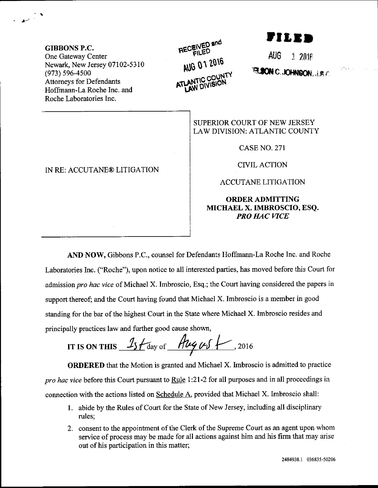GIBBONS P.C. One Gateway Center Newark, New Jersey 07102-5310 (973) 596-4500 Attomeys for Defendants Hoffmann-La Roche Inc. and Roche Laboratories Inc.

#### IN RE: ACCUTANE@ LITIGATION

## RECENED AUG 01 2016 ANTIC COUNT

,ILIT

AUG 1 2016 **PLSON C.JOHNSON, J.B.C.** 

SUPERIOR COURT OF NEW JERSEY LAW DIVISION: ATLANTIC COUNTY

CASENO.271

CTVIL ACTION

ACCUTANE LITIGATION

### ORDERADMITTING MICHAEL X. IMBROSCIO, ESQ. PRO HAC VICE

AND NOW, Gibbons P.C., counsel for Defendants Hoffmann-La Roche Inc. and Roche Laboratories Inc. ("Roche"), upon notice to all interested parties, has moved before this Court for admission pro hac vice of Michael X. Imbroscio, Esq.; the Court having considered the papers in support thereof; and the Court having found that Michael X. Imbroscio is a member in good standing for the bar of the highest Court in the State where Michael X. Imbroscio resides and principally practices law and firther good cause shown,

IT IS ON THIS  $15f$  day of  $\frac{h\mu\mu\mu\int}{\sqrt{2016}}$ 

ORDERED that the Motion is granted and Michael X. Imbroscio is admitted to practice pro hac vice before this Court pursuant to Rule 1:21-2 for all purposes and in all proceedings in connection with the actions listed on Schedule A, provided that Michael X. Imbroscio shall:

- 1. abide by the Rules of Court for the State of New Jersey, including all disciplinary rules;
- 2. consent to the appointment of the Clerk of the Supreme Court as an agent upon whom service of process may be made for all actions against him and his firm that may arise out of his participation in this matter;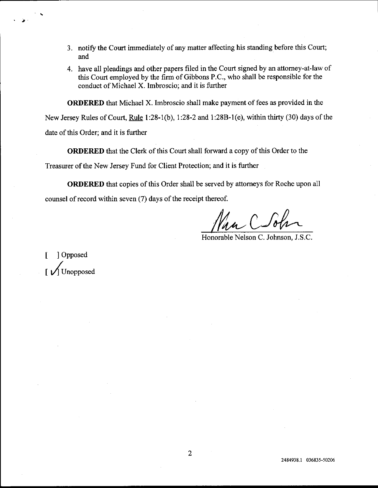- 3. notify the Court immediately of any matter affecting his standing before this Court; and
- 4. have all pleadings and other papers filed in the Court signed by an attorney-at-law of this Court employed by the firm of Gibbons P.C., who shall be responsible for the conduct of Michael X. Imbroscio; and it is further

ORDERED that Michael X. Imbroscio shall make payment of fees as provided in the

New Jersey Rules of Court, Rule I :28-1(b), 1:28-2 and 1:288-l (e), within thirty (30) days of the date of this Order; and it is further

ORDERED that the Clerk of this Court shall forward a copy of this Order to the Treasurer of the New Jersey Fund for Client Protection; and it is further

ORDERED that copies of this Order shall be served by attomeys for Roche upon all counsel of record within seven (7) days of the receipt thereof.

Honorable Nelson C. Johnson, J.S.C.

[ ] Opposed Unopposed